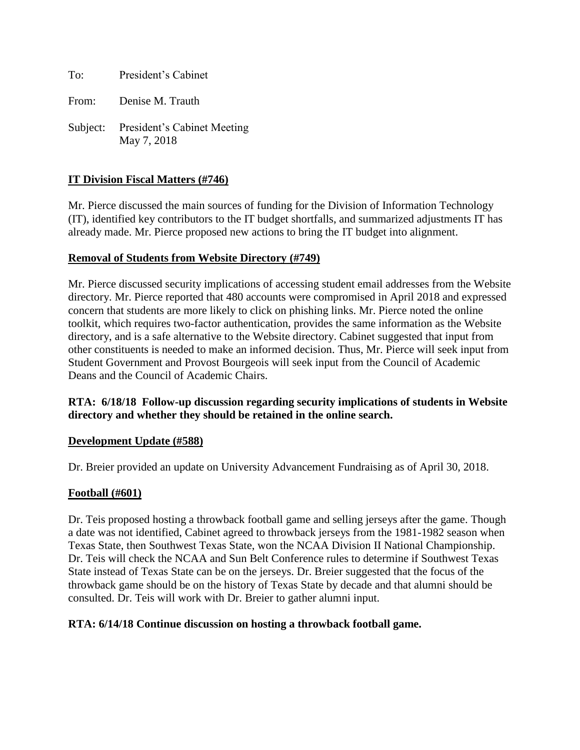To: President's Cabinet

From: Denise M. Trauth

Subject: President's Cabinet Meeting May 7, 2018

# **IT Division Fiscal Matters (#746)**

Mr. Pierce discussed the main sources of funding for the Division of Information Technology (IT), identified key contributors to the IT budget shortfalls, and summarized adjustments IT has already made. Mr. Pierce proposed new actions to bring the IT budget into alignment.

### **Removal of Students from Website Directory (#749)**

Mr. Pierce discussed security implications of accessing student email addresses from the Website directory. Mr. Pierce reported that 480 accounts were compromised in April 2018 and expressed concern that students are more likely to click on phishing links. Mr. Pierce noted the online toolkit, which requires two-factor authentication, provides the same information as the Website directory, and is a safe alternative to the Website directory. Cabinet suggested that input from other constituents is needed to make an informed decision. Thus, Mr. Pierce will seek input from Student Government and Provost Bourgeois will seek input from the Council of Academic Deans and the Council of Academic Chairs.

# **RTA: 6/18/18 Follow-up discussion regarding security implications of students in Website directory and whether they should be retained in the online search.**

### **Development Update (#588)**

Dr. Breier provided an update on University Advancement Fundraising as of April 30, 2018.

### **Football (#601)**

Dr. Teis proposed hosting a throwback football game and selling jerseys after the game. Though a date was not identified, Cabinet agreed to throwback jerseys from the 1981-1982 season when Texas State, then Southwest Texas State, won the NCAA Division II National Championship. Dr. Teis will check the NCAA and Sun Belt Conference rules to determine if Southwest Texas State instead of Texas State can be on the jerseys. Dr. Breier suggested that the focus of the throwback game should be on the history of Texas State by decade and that alumni should be consulted. Dr. Teis will work with Dr. Breier to gather alumni input.

### **RTA: 6/14/18 Continue discussion on hosting a throwback football game.**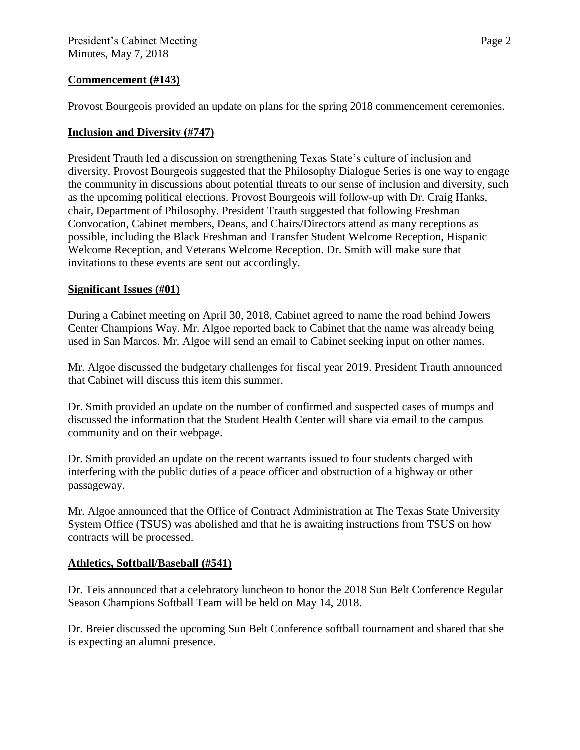## **Commencement (#143)**

Provost Bourgeois provided an update on plans for the spring 2018 commencement ceremonies.

# **Inclusion and Diversity (#747)**

President Trauth led a discussion on strengthening Texas State's culture of inclusion and diversity. Provost Bourgeois suggested that the Philosophy Dialogue Series is one way to engage the community in discussions about potential threats to our sense of inclusion and diversity, such as the upcoming political elections. Provost Bourgeois will follow-up with Dr. Craig Hanks, chair, Department of Philosophy. President Trauth suggested that following Freshman Convocation, Cabinet members, Deans, and Chairs/Directors attend as many receptions as possible, including the Black Freshman and Transfer Student Welcome Reception, Hispanic Welcome Reception, and Veterans Welcome Reception. Dr. Smith will make sure that invitations to these events are sent out accordingly.

### **Significant Issues (#01)**

During a Cabinet meeting on April 30, 2018, Cabinet agreed to name the road behind Jowers Center Champions Way. Mr. Algoe reported back to Cabinet that the name was already being used in San Marcos. Mr. Algoe will send an email to Cabinet seeking input on other names.

Mr. Algoe discussed the budgetary challenges for fiscal year 2019. President Trauth announced that Cabinet will discuss this item this summer.

Dr. Smith provided an update on the number of confirmed and suspected cases of mumps and discussed the information that the Student Health Center will share via email to the campus community and on their webpage.

Dr. Smith provided an update on the recent warrants issued to four students charged with interfering with the public duties of a peace officer and obstruction of a highway or other passageway.

Mr. Algoe announced that the Office of Contract Administration at The Texas State University System Office (TSUS) was abolished and that he is awaiting instructions from TSUS on how contracts will be processed.

### **Athletics, Softball/Baseball (#541)**

Dr. Teis announced that a celebratory luncheon to honor the 2018 Sun Belt Conference Regular Season Champions Softball Team will be held on May 14, 2018.

Dr. Breier discussed the upcoming Sun Belt Conference softball tournament and shared that she is expecting an alumni presence.